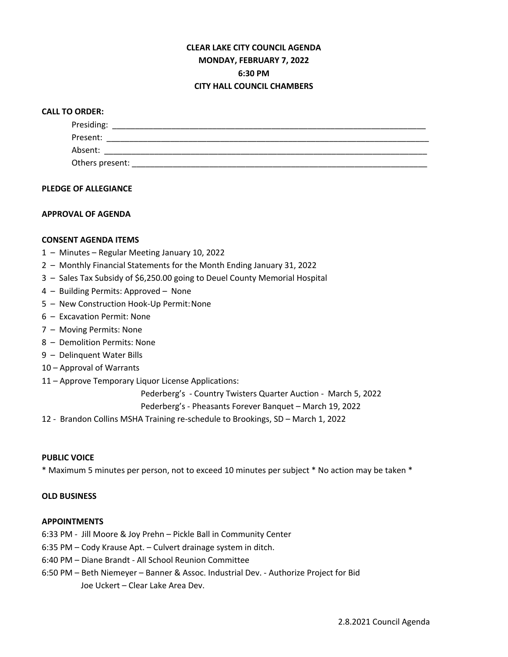# **CLEAR LAKE CITY COUNCIL AGENDA MONDAY, FEBRUARY 7, 2022 6:30 PM CITY HALL COUNCIL CHAMBERS**

## **CALL TO ORDER:**

| Presiding:      |  |  |
|-----------------|--|--|
| Present:        |  |  |
| Absent:         |  |  |
| Others present: |  |  |

#### **PLEDGE OF ALLEGIANCE**

## **APPROVAL OF AGENDA**

## **CONSENT AGENDA ITEMS**

- 1 Minutes Regular Meeting January 10, 2022
- 2 Monthly Financial Statements for the Month Ending January 31, 2022
- 3 Sales Tax Subsidy of \$6,250.00 going to Deuel County Memorial Hospital
- 4 Building Permits: Approved None
- 5 New Construction Hook-Up Permit:None
- 6 Excavation Permit: None
- 7 Moving Permits: None
- 8 Demolition Permits: None
- 9 Delinquent Water Bills
- 10 Approval of Warrants
- 11 Approve Temporary Liquor License Applications:

Pederberg's - Country Twisters Quarter Auction - March 5, 2022

Pederberg's - Pheasants Forever Banquet – March 19, 2022

12 - Brandon Collins MSHA Training re-schedule to Brookings, SD – March 1, 2022

#### **PUBLIC VOICE**

\* Maximum 5 minutes per person, not to exceed 10 minutes per subject \* No action may be taken \*

#### **OLD BUSINESS**

#### **APPOINTMENTS**

6:33 PM - Jill Moore & Joy Prehn – Pickle Ball in Community Center

- 6:35 PM Cody Krause Apt. Culvert drainage system in ditch.
- 6:40 PM Diane Brandt All School Reunion Committee
- 6:50 PM Beth Niemeyer Banner & Assoc. Industrial Dev. Authorize Project for Bid Joe Uckert – Clear Lake Area Dev.